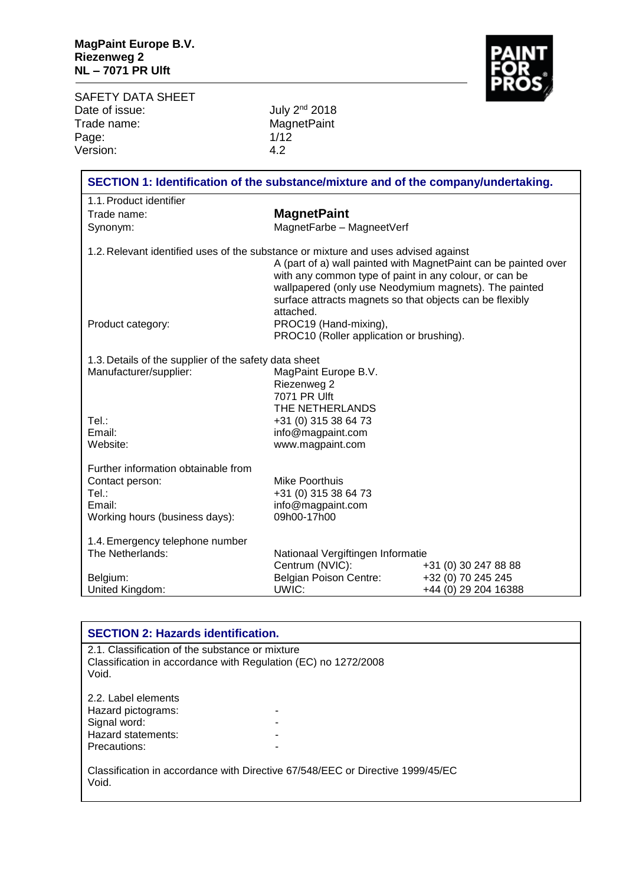SAFETY DATA SHEET Date of issue:<br>Trade name: Page: 1/12<br>Version: 1/12 Version:

July 2<sup>nd</sup> 2018<br>MagnetPaint<br>1/12

| SECTION 1: Identification of the substance/mixture and of the company/undertaking. |                                                                                                                                                                             |                                                                 |
|------------------------------------------------------------------------------------|-----------------------------------------------------------------------------------------------------------------------------------------------------------------------------|-----------------------------------------------------------------|
| 1.1. Product identifier                                                            |                                                                                                                                                                             |                                                                 |
| Trade name:                                                                        | <b>MagnetPaint</b>                                                                                                                                                          |                                                                 |
| Synonym:                                                                           | MagnetFarbe - MagneetVerf                                                                                                                                                   |                                                                 |
| 1.2. Relevant identified uses of the substance or mixture and uses advised against | with any common type of paint in any colour, or can be<br>wallpapered (only use Neodymium magnets). The painted<br>surface attracts magnets so that objects can be flexibly | A (part of a) wall painted with MagnetPaint can be painted over |
|                                                                                    | attached.                                                                                                                                                                   |                                                                 |
| Product category:                                                                  | PROC19 (Hand-mixing),                                                                                                                                                       |                                                                 |
|                                                                                    | PROC10 (Roller application or brushing).                                                                                                                                    |                                                                 |
| 1.3. Details of the supplier of the safety data sheet                              |                                                                                                                                                                             |                                                                 |
| Manufacturer/supplier:                                                             | MagPaint Europe B.V.                                                                                                                                                        |                                                                 |
|                                                                                    | Riezenweg 2                                                                                                                                                                 |                                                                 |
|                                                                                    | 7071 PR Ulft                                                                                                                                                                |                                                                 |
|                                                                                    | THE NETHERLANDS                                                                                                                                                             |                                                                 |
| Tel.:                                                                              | +31 (0) 315 38 64 73                                                                                                                                                        |                                                                 |
| Email:                                                                             | info@magpaint.com                                                                                                                                                           |                                                                 |
| Website:                                                                           | www.magpaint.com                                                                                                                                                            |                                                                 |
| Further information obtainable from                                                |                                                                                                                                                                             |                                                                 |
| Contact person:                                                                    | <b>Mike Poorthuis</b>                                                                                                                                                       |                                                                 |
| Tel.:                                                                              | +31 (0) 315 38 64 73                                                                                                                                                        |                                                                 |
| Email:                                                                             | info@magpaint.com                                                                                                                                                           |                                                                 |
| Working hours (business days):                                                     | 09h00-17h00                                                                                                                                                                 |                                                                 |
|                                                                                    |                                                                                                                                                                             |                                                                 |
| 1.4. Emergency telephone number                                                    |                                                                                                                                                                             |                                                                 |
| The Netherlands:                                                                   | Nationaal Vergiftingen Informatie                                                                                                                                           |                                                                 |
|                                                                                    | Centrum (NVIC):                                                                                                                                                             | +31 (0) 30 247 88 88                                            |
| Belgium:<br>United Kingdom:                                                        | <b>Belgian Poison Centre:</b><br>UWIC:                                                                                                                                      | +32 (0) 70 245 245<br>+44 (0) 29 204 16388                      |
|                                                                                    |                                                                                                                                                                             |                                                                 |

| <b>SECTION 2: Hazards identification.</b>                                                                                  |  |  |
|----------------------------------------------------------------------------------------------------------------------------|--|--|
| 2.1. Classification of the substance or mixture<br>Classification in accordance with Regulation (EC) no 1272/2008<br>Void. |  |  |
| 2.2. Label elements                                                                                                        |  |  |
| Hazard pictograms:                                                                                                         |  |  |
| Signal word:                                                                                                               |  |  |
| Hazard statements:                                                                                                         |  |  |
| Precautions:                                                                                                               |  |  |
| Classification in accordance with Directive 67/548/EEC or Directive 1999/45/EC<br>Void.                                    |  |  |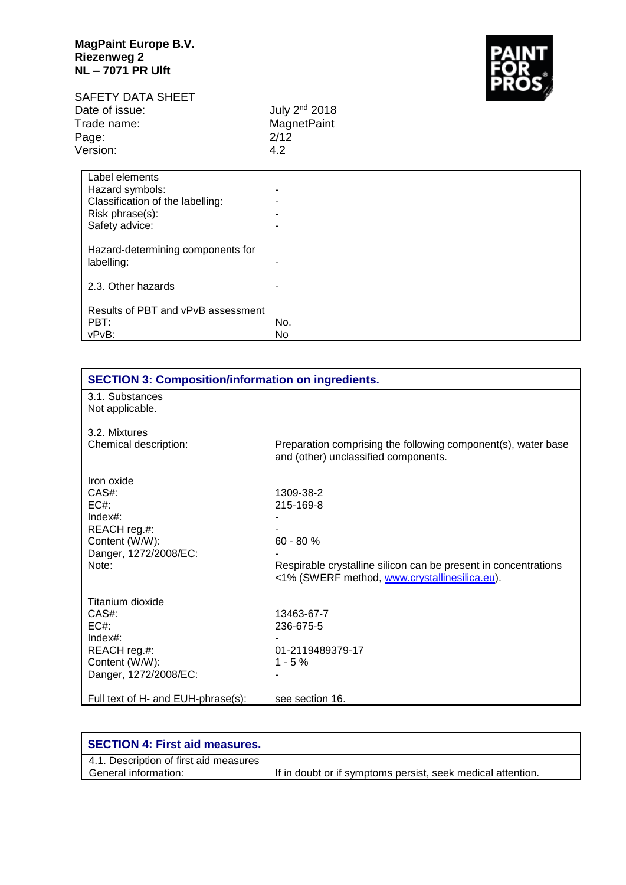

## SAFETY DATA SHEET Date of issue:<br>Trade name: Page: 2/12<br>Version: 22/12 Version:

July 2<sup>nd</sup> 2018<br>MagnetPaint<br>2/12

| Label elements                     |     |
|------------------------------------|-----|
| Hazard symbols:                    | -   |
| Classification of the labelling:   | -   |
| Risk phrase(s):                    |     |
| Safety advice:                     | ۰   |
|                                    |     |
| Hazard-determining components for  |     |
| labelling:                         | -   |
|                                    |     |
| 2.3. Other hazards                 | ۰   |
|                                    |     |
| Results of PBT and vPvB assessment |     |
| PBT:                               | No. |
| vPvB:                              | No. |

| <b>SECTION 3: Composition/information on ingredients.</b> |                                                                                                                  |
|-----------------------------------------------------------|------------------------------------------------------------------------------------------------------------------|
| 3.1. Substances<br>Not applicable.                        |                                                                                                                  |
| 3.2. Mixtures                                             |                                                                                                                  |
| Chemical description:                                     | Preparation comprising the following component(s), water base<br>and (other) unclassified components.            |
| Iron oxide                                                |                                                                                                                  |
| CAS#:<br>EC#                                              | 1309-38-2<br>215-169-8                                                                                           |
| $Index#$ :                                                |                                                                                                                  |
| REACH reg.#:                                              |                                                                                                                  |
| Content (W/W):                                            | $60 - 80 %$                                                                                                      |
| Danger, 1272/2008/EC:<br>Note:                            | Respirable crystalline silicon can be present in concentrations<br><1% (SWERF method, www.crystallinesilica.eu). |
| Titanium dioxide                                          |                                                                                                                  |
| $CAS#$ :                                                  | 13463-67-7                                                                                                       |
| EC#                                                       | 236-675-5                                                                                                        |
| Index#:                                                   |                                                                                                                  |
| REACH reg.#:                                              | 01-2119489379-17                                                                                                 |
| Content (W/W):                                            | $1 - 5%$                                                                                                         |
| Danger, 1272/2008/EC:                                     |                                                                                                                  |
| Full text of H- and EUH-phrase(s):                        | see section 16.                                                                                                  |

| <b>SECTION 4: First aid measures.</b>  |                                                             |
|----------------------------------------|-------------------------------------------------------------|
| 4.1. Description of first aid measures |                                                             |
| General information:                   | If in doubt or if symptoms persist, seek medical attention. |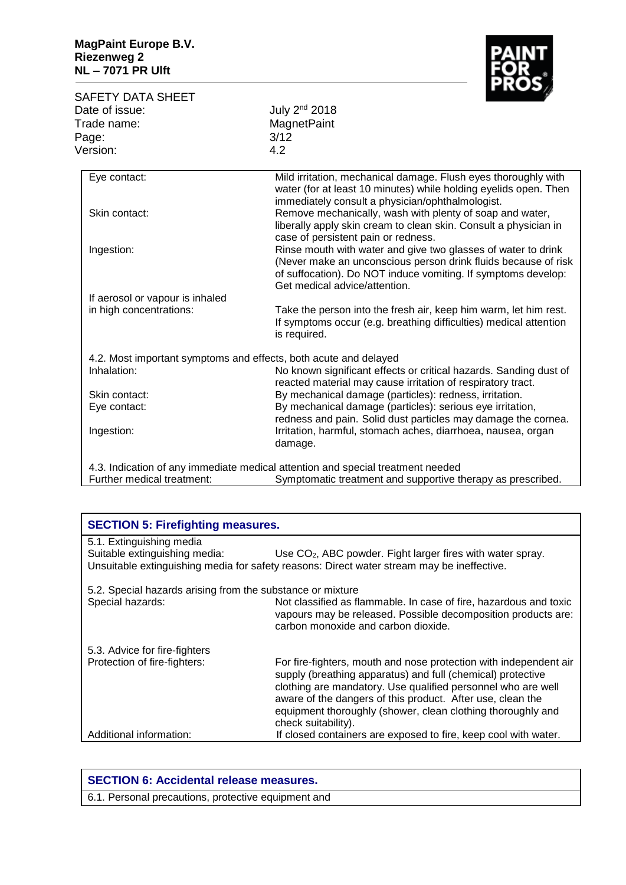

| SAFETY DATA SHEET |                           |
|-------------------|---------------------------|
| Date of issue:    | July 2 <sup>nd</sup> 2018 |
| Trade name:       | MagnetPaint               |
| Page:             | 3/12                      |
| Version:          | 4.2                       |

| Eye contact:                                                                    | Mild irritation, mechanical damage. Flush eyes thoroughly with<br>water (for at least 10 minutes) while holding eyelids open. Then<br>immediately consult a physician/ophthalmologist.                                            |  |
|---------------------------------------------------------------------------------|-----------------------------------------------------------------------------------------------------------------------------------------------------------------------------------------------------------------------------------|--|
| Skin contact:                                                                   | Remove mechanically, wash with plenty of soap and water,<br>liberally apply skin cream to clean skin. Consult a physician in<br>case of persistent pain or redness.                                                               |  |
| Ingestion:                                                                      | Rinse mouth with water and give two glasses of water to drink<br>(Never make an unconscious person drink fluids because of risk<br>of suffocation). Do NOT induce vomiting. If symptoms develop:<br>Get medical advice/attention. |  |
| If aerosol or vapour is inhaled                                                 |                                                                                                                                                                                                                                   |  |
| in high concentrations:                                                         | Take the person into the fresh air, keep him warm, let him rest.<br>If symptoms occur (e.g. breathing difficulties) medical attention<br>is required.                                                                             |  |
| 4.2. Most important symptoms and effects, both acute and delayed                |                                                                                                                                                                                                                                   |  |
| Inhalation:                                                                     | No known significant effects or critical hazards. Sanding dust of<br>reacted material may cause irritation of respiratory tract.                                                                                                  |  |
| Skin contact:                                                                   | By mechanical damage (particles): redness, irritation.                                                                                                                                                                            |  |
| Eye contact:                                                                    | By mechanical damage (particles): serious eye irritation,<br>redness and pain. Solid dust particles may damage the cornea.                                                                                                        |  |
| Ingestion:                                                                      | Irritation, harmful, stomach aches, diarrhoea, nausea, organ<br>damage.                                                                                                                                                           |  |
| 4.3. Indication of any immediate medical attention and special treatment needed |                                                                                                                                                                                                                                   |  |
|                                                                                 |                                                                                                                                                                                                                                   |  |

| Further medical treatment: | Symptomatic treatment and supportive therapy as prescribed. |
|----------------------------|-------------------------------------------------------------|
|                            |                                                             |

| <b>SECTION 5: Firefighting measures.</b> |  |
|------------------------------------------|--|
|                                          |  |

| 5.1. Extinguishing media<br>Suitable extinguishing media:  | Use CO <sub>2</sub> , ABC powder. Fight larger fires with water spray.<br>Unsuitable extinguishing media for safety reasons: Direct water stream may be ineffective.                                                                                                                                                                                 |  |
|------------------------------------------------------------|------------------------------------------------------------------------------------------------------------------------------------------------------------------------------------------------------------------------------------------------------------------------------------------------------------------------------------------------------|--|
| 5.2. Special hazards arising from the substance or mixture |                                                                                                                                                                                                                                                                                                                                                      |  |
| Special hazards:                                           | Not classified as flammable. In case of fire, hazardous and toxic<br>vapours may be released. Possible decomposition products are:<br>carbon monoxide and carbon dioxide.                                                                                                                                                                            |  |
| 5.3. Advice for fire-fighters                              |                                                                                                                                                                                                                                                                                                                                                      |  |
| Protection of fire-fighters:                               | For fire-fighters, mouth and nose protection with independent air<br>supply (breathing apparatus) and full (chemical) protective<br>clothing are mandatory. Use qualified personnel who are well<br>aware of the dangers of this product. After use, clean the<br>equipment thoroughly (shower, clean clothing thoroughly and<br>check suitability). |  |
| Additional information:                                    | If closed containers are exposed to fire, keep cool with water.                                                                                                                                                                                                                                                                                      |  |

| <b>SECTION 6: Accidental release measures.</b>      |
|-----------------------------------------------------|
| 6.1. Personal precautions, protective equipment and |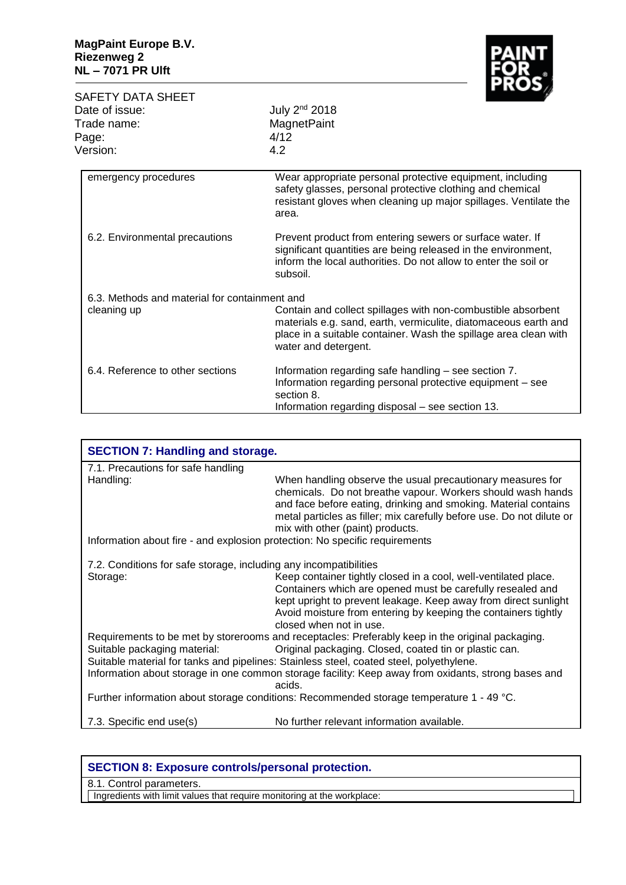

| <b>SAFETY DATA SHEET</b><br>Date of issue:<br>Trade name:<br>Page:<br>Version: | July 2 <sup>nd</sup> 2018<br>MagnetPaint<br>4/12<br>4.2                                                                                                                                                                     |
|--------------------------------------------------------------------------------|-----------------------------------------------------------------------------------------------------------------------------------------------------------------------------------------------------------------------------|
| emergency procedures                                                           | Wear appropriate personal protective equipment, including<br>safety glasses, personal protective clothing and chemical<br>resistant gloves when cleaning up major spillages. Ventilate the<br>area.                         |
| 6.2. Environmental precautions                                                 | Prevent product from entering sewers or surface water. If<br>significant quantities are being released in the environment,<br>inform the local authorities. Do not allow to enter the soil or<br>subsoil.                   |
| 6.3. Methods and material for containment and<br>cleaning up                   | Contain and collect spillages with non-combustible absorbent<br>materials e.g. sand, earth, vermiculite, diatomaceous earth and<br>place in a suitable container. Wash the spillage area clean with<br>water and detergent. |
| 6.4. Reference to other sections                                               | Information regarding safe handling - see section 7.<br>Information regarding personal protective equipment - see<br>section 8.<br>Information regarding disposal - see section 13.                                         |

| <b>SECTION 7: Handling and storage.</b>                                                                                                                                                                                                                                                            |                                                                                                                                                                                                                                                                                                           |  |
|----------------------------------------------------------------------------------------------------------------------------------------------------------------------------------------------------------------------------------------------------------------------------------------------------|-----------------------------------------------------------------------------------------------------------------------------------------------------------------------------------------------------------------------------------------------------------------------------------------------------------|--|
| 7.1. Precautions for safe handling                                                                                                                                                                                                                                                                 |                                                                                                                                                                                                                                                                                                           |  |
| Handling:                                                                                                                                                                                                                                                                                          | When handling observe the usual precautionary measures for<br>chemicals. Do not breathe vapour. Workers should wash hands<br>and face before eating, drinking and smoking. Material contains<br>metal particles as filler; mix carefully before use. Do not dilute or<br>mix with other (paint) products. |  |
| Information about fire - and explosion protection: No specific requirements                                                                                                                                                                                                                        |                                                                                                                                                                                                                                                                                                           |  |
| 7.2. Conditions for safe storage, including any incompatibilities                                                                                                                                                                                                                                  |                                                                                                                                                                                                                                                                                                           |  |
| Storage:                                                                                                                                                                                                                                                                                           | Keep container tightly closed in a cool, well-ventilated place.<br>Containers which are opened must be carefully resealed and<br>kept upright to prevent leakage. Keep away from direct sunlight<br>Avoid moisture from entering by keeping the containers tightly<br>closed when not in use.             |  |
|                                                                                                                                                                                                                                                                                                    | Requirements to be met by storerooms and receptacles: Preferably keep in the original packaging.                                                                                                                                                                                                          |  |
| Suitable packaging material:<br>Original packaging. Closed, coated tin or plastic can.<br>Suitable material for tanks and pipelines: Stainless steel, coated steel, polyethylene.<br>Information about storage in one common storage facility: Keep away from oxidants, strong bases and<br>acids. |                                                                                                                                                                                                                                                                                                           |  |
| Further information about storage conditions: Recommended storage temperature 1 - 49 °C.                                                                                                                                                                                                           |                                                                                                                                                                                                                                                                                                           |  |
| 7.3. Specific end use(s)                                                                                                                                                                                                                                                                           | No further relevant information available.                                                                                                                                                                                                                                                                |  |

## **SECTION 8: Exposure controls/personal protection.**

8.1. Control parameters.

Ingredients with limit values that require monitoring at the workplace: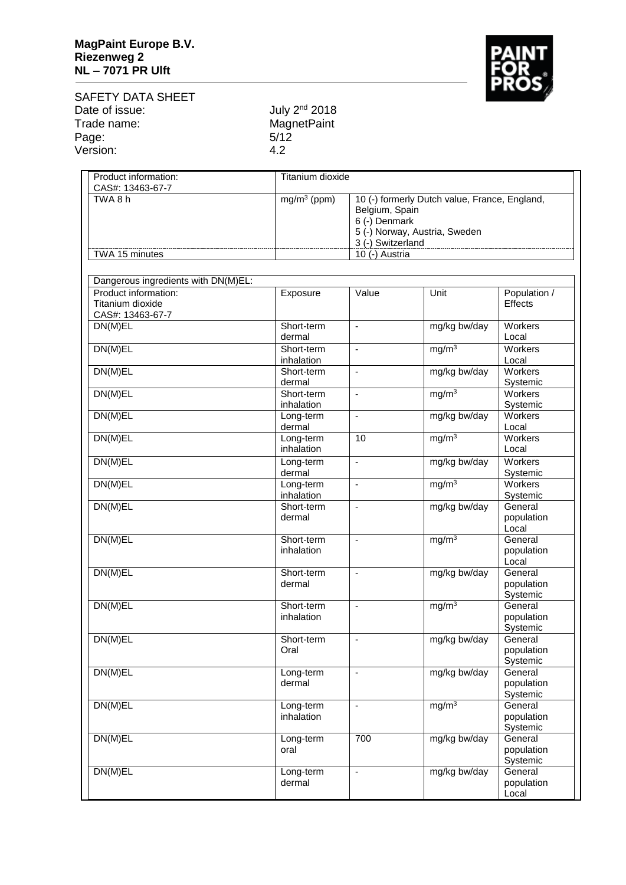

SAFETY DATA SHEET Date of issue:<br>Trade name: Page: 5/12<br>Version: 5/12 Version:

July 2<sup>nd</sup> 2018<br>MagnetPaint<br>5/12

| CAS#: 13463-67-7<br>$mg/m3$ (ppm)<br>TWA8h<br>10 (-) formerly Dutch value, France, England,<br>Belgium, Spain<br>6 (-) Denmark<br>5 (-) Norway, Austria, Sweden<br>3 (-) Switzerland<br>TWA 15 minutes<br>10 (-) Austria<br>Dangerous ingredients with DN(M)EL:<br>Product information:<br>Population /<br>Value<br>Unit<br>Exposure<br>Titanium dioxide<br><b>Effects</b><br>CAS#: 13463-67-7<br>DN(M)EL<br>mg/kg bw/day<br>Workers<br>Short-term<br>$\blacksquare$<br>dermal<br>Local<br>DN(M)EL<br>mg/m <sup>3</sup><br>Workers<br>Short-term<br>$\blacksquare$<br>inhalation<br>Local<br>DN(M)EL<br>Workers<br>mg/kg bw/day<br>Short-term<br>$\overline{\phantom{a}}$<br>dermal<br>Systemic<br>DN(M)EL<br>mg/m <sup>3</sup><br>Workers<br>Short-term<br>$\blacksquare$<br>Systemic<br>inhalation<br>DN(M)EL<br>mg/kg bw/day<br>Workers<br>Long-term<br>$\blacksquare$<br>dermal<br>Local<br>DN(M)EL<br>mg/m <sup>3</sup><br>Workers<br>10<br>Long-term<br>inhalation<br>Local<br>DN(M)EL<br>÷,<br>mg/kg bw/day<br>Workers<br>Long-term<br>dermal<br>Systemic<br>DN(M)EL<br>mg/m <sup>3</sup><br>Workers<br>Long-term<br>÷,<br>inhalation<br>Systemic<br>DN(M)EL<br>mg/kg bw/day<br>Short-term<br>General<br>÷,<br>dermal<br>population<br>Local<br>DN(M)EL<br>mg/m <sup>3</sup><br>Short-term<br>General<br>$\blacksquare$<br>inhalation<br>population<br>Local<br>DN(M)EL<br>Short-term<br>mg/kg bw/day<br>General<br>$\blacksquare$<br>dermal<br>population<br>Systemic<br>DN(M)EL<br>mg/m <sup>3</sup><br>General<br>Short-term<br>÷,<br>population<br>inhalation<br>Systemic<br>General<br>DN(M)EL<br>Short-term<br>mg/kg bw/day<br>Oral<br>population<br>Systemic<br>DN(M)EL<br>mg/kg bw/day<br>General<br>Long-term<br>$\blacksquare$<br>dermal<br>population<br>Systemic<br>DN(M)EL<br>mg/m <sup>3</sup><br>General<br>Long-term<br>$\overline{\phantom{a}}$<br>inhalation<br>population<br>Systemic<br>DN(M)EL<br>700<br>mg/kg bw/day<br>General<br>Long-term<br>oral<br>population<br>Systemic<br>DN(M)EL<br>mg/kg bw/day<br>Long-term<br>General<br>$\overline{\phantom{a}}$<br>dermal<br>population | Product information: | Titanium dioxide |  |       |
|--------------------------------------------------------------------------------------------------------------------------------------------------------------------------------------------------------------------------------------------------------------------------------------------------------------------------------------------------------------------------------------------------------------------------------------------------------------------------------------------------------------------------------------------------------------------------------------------------------------------------------------------------------------------------------------------------------------------------------------------------------------------------------------------------------------------------------------------------------------------------------------------------------------------------------------------------------------------------------------------------------------------------------------------------------------------------------------------------------------------------------------------------------------------------------------------------------------------------------------------------------------------------------------------------------------------------------------------------------------------------------------------------------------------------------------------------------------------------------------------------------------------------------------------------------------------------------------------------------------------------------------------------------------------------------------------------------------------------------------------------------------------------------------------------------------------------------------------------------------------------------------------------------------------------------------------------------------------------------------------------------------------------------------------------------------------------------------------------------------------|----------------------|------------------|--|-------|
|                                                                                                                                                                                                                                                                                                                                                                                                                                                                                                                                                                                                                                                                                                                                                                                                                                                                                                                                                                                                                                                                                                                                                                                                                                                                                                                                                                                                                                                                                                                                                                                                                                                                                                                                                                                                                                                                                                                                                                                                                                                                                                                    |                      |                  |  |       |
|                                                                                                                                                                                                                                                                                                                                                                                                                                                                                                                                                                                                                                                                                                                                                                                                                                                                                                                                                                                                                                                                                                                                                                                                                                                                                                                                                                                                                                                                                                                                                                                                                                                                                                                                                                                                                                                                                                                                                                                                                                                                                                                    |                      |                  |  |       |
|                                                                                                                                                                                                                                                                                                                                                                                                                                                                                                                                                                                                                                                                                                                                                                                                                                                                                                                                                                                                                                                                                                                                                                                                                                                                                                                                                                                                                                                                                                                                                                                                                                                                                                                                                                                                                                                                                                                                                                                                                                                                                                                    |                      |                  |  |       |
|                                                                                                                                                                                                                                                                                                                                                                                                                                                                                                                                                                                                                                                                                                                                                                                                                                                                                                                                                                                                                                                                                                                                                                                                                                                                                                                                                                                                                                                                                                                                                                                                                                                                                                                                                                                                                                                                                                                                                                                                                                                                                                                    |                      |                  |  |       |
|                                                                                                                                                                                                                                                                                                                                                                                                                                                                                                                                                                                                                                                                                                                                                                                                                                                                                                                                                                                                                                                                                                                                                                                                                                                                                                                                                                                                                                                                                                                                                                                                                                                                                                                                                                                                                                                                                                                                                                                                                                                                                                                    |                      |                  |  |       |
|                                                                                                                                                                                                                                                                                                                                                                                                                                                                                                                                                                                                                                                                                                                                                                                                                                                                                                                                                                                                                                                                                                                                                                                                                                                                                                                                                                                                                                                                                                                                                                                                                                                                                                                                                                                                                                                                                                                                                                                                                                                                                                                    |                      |                  |  |       |
|                                                                                                                                                                                                                                                                                                                                                                                                                                                                                                                                                                                                                                                                                                                                                                                                                                                                                                                                                                                                                                                                                                                                                                                                                                                                                                                                                                                                                                                                                                                                                                                                                                                                                                                                                                                                                                                                                                                                                                                                                                                                                                                    |                      |                  |  |       |
|                                                                                                                                                                                                                                                                                                                                                                                                                                                                                                                                                                                                                                                                                                                                                                                                                                                                                                                                                                                                                                                                                                                                                                                                                                                                                                                                                                                                                                                                                                                                                                                                                                                                                                                                                                                                                                                                                                                                                                                                                                                                                                                    |                      |                  |  |       |
|                                                                                                                                                                                                                                                                                                                                                                                                                                                                                                                                                                                                                                                                                                                                                                                                                                                                                                                                                                                                                                                                                                                                                                                                                                                                                                                                                                                                                                                                                                                                                                                                                                                                                                                                                                                                                                                                                                                                                                                                                                                                                                                    |                      |                  |  |       |
|                                                                                                                                                                                                                                                                                                                                                                                                                                                                                                                                                                                                                                                                                                                                                                                                                                                                                                                                                                                                                                                                                                                                                                                                                                                                                                                                                                                                                                                                                                                                                                                                                                                                                                                                                                                                                                                                                                                                                                                                                                                                                                                    |                      |                  |  |       |
|                                                                                                                                                                                                                                                                                                                                                                                                                                                                                                                                                                                                                                                                                                                                                                                                                                                                                                                                                                                                                                                                                                                                                                                                                                                                                                                                                                                                                                                                                                                                                                                                                                                                                                                                                                                                                                                                                                                                                                                                                                                                                                                    |                      |                  |  |       |
|                                                                                                                                                                                                                                                                                                                                                                                                                                                                                                                                                                                                                                                                                                                                                                                                                                                                                                                                                                                                                                                                                                                                                                                                                                                                                                                                                                                                                                                                                                                                                                                                                                                                                                                                                                                                                                                                                                                                                                                                                                                                                                                    |                      |                  |  |       |
|                                                                                                                                                                                                                                                                                                                                                                                                                                                                                                                                                                                                                                                                                                                                                                                                                                                                                                                                                                                                                                                                                                                                                                                                                                                                                                                                                                                                                                                                                                                                                                                                                                                                                                                                                                                                                                                                                                                                                                                                                                                                                                                    |                      |                  |  |       |
|                                                                                                                                                                                                                                                                                                                                                                                                                                                                                                                                                                                                                                                                                                                                                                                                                                                                                                                                                                                                                                                                                                                                                                                                                                                                                                                                                                                                                                                                                                                                                                                                                                                                                                                                                                                                                                                                                                                                                                                                                                                                                                                    |                      |                  |  |       |
|                                                                                                                                                                                                                                                                                                                                                                                                                                                                                                                                                                                                                                                                                                                                                                                                                                                                                                                                                                                                                                                                                                                                                                                                                                                                                                                                                                                                                                                                                                                                                                                                                                                                                                                                                                                                                                                                                                                                                                                                                                                                                                                    |                      |                  |  |       |
|                                                                                                                                                                                                                                                                                                                                                                                                                                                                                                                                                                                                                                                                                                                                                                                                                                                                                                                                                                                                                                                                                                                                                                                                                                                                                                                                                                                                                                                                                                                                                                                                                                                                                                                                                                                                                                                                                                                                                                                                                                                                                                                    |                      |                  |  |       |
|                                                                                                                                                                                                                                                                                                                                                                                                                                                                                                                                                                                                                                                                                                                                                                                                                                                                                                                                                                                                                                                                                                                                                                                                                                                                                                                                                                                                                                                                                                                                                                                                                                                                                                                                                                                                                                                                                                                                                                                                                                                                                                                    |                      |                  |  |       |
|                                                                                                                                                                                                                                                                                                                                                                                                                                                                                                                                                                                                                                                                                                                                                                                                                                                                                                                                                                                                                                                                                                                                                                                                                                                                                                                                                                                                                                                                                                                                                                                                                                                                                                                                                                                                                                                                                                                                                                                                                                                                                                                    |                      |                  |  |       |
|                                                                                                                                                                                                                                                                                                                                                                                                                                                                                                                                                                                                                                                                                                                                                                                                                                                                                                                                                                                                                                                                                                                                                                                                                                                                                                                                                                                                                                                                                                                                                                                                                                                                                                                                                                                                                                                                                                                                                                                                                                                                                                                    |                      |                  |  |       |
|                                                                                                                                                                                                                                                                                                                                                                                                                                                                                                                                                                                                                                                                                                                                                                                                                                                                                                                                                                                                                                                                                                                                                                                                                                                                                                                                                                                                                                                                                                                                                                                                                                                                                                                                                                                                                                                                                                                                                                                                                                                                                                                    |                      |                  |  |       |
|                                                                                                                                                                                                                                                                                                                                                                                                                                                                                                                                                                                                                                                                                                                                                                                                                                                                                                                                                                                                                                                                                                                                                                                                                                                                                                                                                                                                                                                                                                                                                                                                                                                                                                                                                                                                                                                                                                                                                                                                                                                                                                                    |                      |                  |  |       |
|                                                                                                                                                                                                                                                                                                                                                                                                                                                                                                                                                                                                                                                                                                                                                                                                                                                                                                                                                                                                                                                                                                                                                                                                                                                                                                                                                                                                                                                                                                                                                                                                                                                                                                                                                                                                                                                                                                                                                                                                                                                                                                                    |                      |                  |  |       |
|                                                                                                                                                                                                                                                                                                                                                                                                                                                                                                                                                                                                                                                                                                                                                                                                                                                                                                                                                                                                                                                                                                                                                                                                                                                                                                                                                                                                                                                                                                                                                                                                                                                                                                                                                                                                                                                                                                                                                                                                                                                                                                                    |                      |                  |  |       |
|                                                                                                                                                                                                                                                                                                                                                                                                                                                                                                                                                                                                                                                                                                                                                                                                                                                                                                                                                                                                                                                                                                                                                                                                                                                                                                                                                                                                                                                                                                                                                                                                                                                                                                                                                                                                                                                                                                                                                                                                                                                                                                                    |                      |                  |  |       |
|                                                                                                                                                                                                                                                                                                                                                                                                                                                                                                                                                                                                                                                                                                                                                                                                                                                                                                                                                                                                                                                                                                                                                                                                                                                                                                                                                                                                                                                                                                                                                                                                                                                                                                                                                                                                                                                                                                                                                                                                                                                                                                                    |                      |                  |  |       |
|                                                                                                                                                                                                                                                                                                                                                                                                                                                                                                                                                                                                                                                                                                                                                                                                                                                                                                                                                                                                                                                                                                                                                                                                                                                                                                                                                                                                                                                                                                                                                                                                                                                                                                                                                                                                                                                                                                                                                                                                                                                                                                                    |                      |                  |  |       |
|                                                                                                                                                                                                                                                                                                                                                                                                                                                                                                                                                                                                                                                                                                                                                                                                                                                                                                                                                                                                                                                                                                                                                                                                                                                                                                                                                                                                                                                                                                                                                                                                                                                                                                                                                                                                                                                                                                                                                                                                                                                                                                                    |                      |                  |  |       |
|                                                                                                                                                                                                                                                                                                                                                                                                                                                                                                                                                                                                                                                                                                                                                                                                                                                                                                                                                                                                                                                                                                                                                                                                                                                                                                                                                                                                                                                                                                                                                                                                                                                                                                                                                                                                                                                                                                                                                                                                                                                                                                                    |                      |                  |  |       |
|                                                                                                                                                                                                                                                                                                                                                                                                                                                                                                                                                                                                                                                                                                                                                                                                                                                                                                                                                                                                                                                                                                                                                                                                                                                                                                                                                                                                                                                                                                                                                                                                                                                                                                                                                                                                                                                                                                                                                                                                                                                                                                                    |                      |                  |  |       |
|                                                                                                                                                                                                                                                                                                                                                                                                                                                                                                                                                                                                                                                                                                                                                                                                                                                                                                                                                                                                                                                                                                                                                                                                                                                                                                                                                                                                                                                                                                                                                                                                                                                                                                                                                                                                                                                                                                                                                                                                                                                                                                                    |                      |                  |  |       |
|                                                                                                                                                                                                                                                                                                                                                                                                                                                                                                                                                                                                                                                                                                                                                                                                                                                                                                                                                                                                                                                                                                                                                                                                                                                                                                                                                                                                                                                                                                                                                                                                                                                                                                                                                                                                                                                                                                                                                                                                                                                                                                                    |                      |                  |  |       |
|                                                                                                                                                                                                                                                                                                                                                                                                                                                                                                                                                                                                                                                                                                                                                                                                                                                                                                                                                                                                                                                                                                                                                                                                                                                                                                                                                                                                                                                                                                                                                                                                                                                                                                                                                                                                                                                                                                                                                                                                                                                                                                                    |                      |                  |  |       |
|                                                                                                                                                                                                                                                                                                                                                                                                                                                                                                                                                                                                                                                                                                                                                                                                                                                                                                                                                                                                                                                                                                                                                                                                                                                                                                                                                                                                                                                                                                                                                                                                                                                                                                                                                                                                                                                                                                                                                                                                                                                                                                                    |                      |                  |  |       |
|                                                                                                                                                                                                                                                                                                                                                                                                                                                                                                                                                                                                                                                                                                                                                                                                                                                                                                                                                                                                                                                                                                                                                                                                                                                                                                                                                                                                                                                                                                                                                                                                                                                                                                                                                                                                                                                                                                                                                                                                                                                                                                                    |                      |                  |  |       |
|                                                                                                                                                                                                                                                                                                                                                                                                                                                                                                                                                                                                                                                                                                                                                                                                                                                                                                                                                                                                                                                                                                                                                                                                                                                                                                                                                                                                                                                                                                                                                                                                                                                                                                                                                                                                                                                                                                                                                                                                                                                                                                                    |                      |                  |  |       |
|                                                                                                                                                                                                                                                                                                                                                                                                                                                                                                                                                                                                                                                                                                                                                                                                                                                                                                                                                                                                                                                                                                                                                                                                                                                                                                                                                                                                                                                                                                                                                                                                                                                                                                                                                                                                                                                                                                                                                                                                                                                                                                                    |                      |                  |  |       |
|                                                                                                                                                                                                                                                                                                                                                                                                                                                                                                                                                                                                                                                                                                                                                                                                                                                                                                                                                                                                                                                                                                                                                                                                                                                                                                                                                                                                                                                                                                                                                                                                                                                                                                                                                                                                                                                                                                                                                                                                                                                                                                                    |                      |                  |  |       |
|                                                                                                                                                                                                                                                                                                                                                                                                                                                                                                                                                                                                                                                                                                                                                                                                                                                                                                                                                                                                                                                                                                                                                                                                                                                                                                                                                                                                                                                                                                                                                                                                                                                                                                                                                                                                                                                                                                                                                                                                                                                                                                                    |                      |                  |  |       |
|                                                                                                                                                                                                                                                                                                                                                                                                                                                                                                                                                                                                                                                                                                                                                                                                                                                                                                                                                                                                                                                                                                                                                                                                                                                                                                                                                                                                                                                                                                                                                                                                                                                                                                                                                                                                                                                                                                                                                                                                                                                                                                                    |                      |                  |  |       |
|                                                                                                                                                                                                                                                                                                                                                                                                                                                                                                                                                                                                                                                                                                                                                                                                                                                                                                                                                                                                                                                                                                                                                                                                                                                                                                                                                                                                                                                                                                                                                                                                                                                                                                                                                                                                                                                                                                                                                                                                                                                                                                                    |                      |                  |  |       |
|                                                                                                                                                                                                                                                                                                                                                                                                                                                                                                                                                                                                                                                                                                                                                                                                                                                                                                                                                                                                                                                                                                                                                                                                                                                                                                                                                                                                                                                                                                                                                                                                                                                                                                                                                                                                                                                                                                                                                                                                                                                                                                                    |                      |                  |  |       |
|                                                                                                                                                                                                                                                                                                                                                                                                                                                                                                                                                                                                                                                                                                                                                                                                                                                                                                                                                                                                                                                                                                                                                                                                                                                                                                                                                                                                                                                                                                                                                                                                                                                                                                                                                                                                                                                                                                                                                                                                                                                                                                                    |                      |                  |  |       |
|                                                                                                                                                                                                                                                                                                                                                                                                                                                                                                                                                                                                                                                                                                                                                                                                                                                                                                                                                                                                                                                                                                                                                                                                                                                                                                                                                                                                                                                                                                                                                                                                                                                                                                                                                                                                                                                                                                                                                                                                                                                                                                                    |                      |                  |  | Local |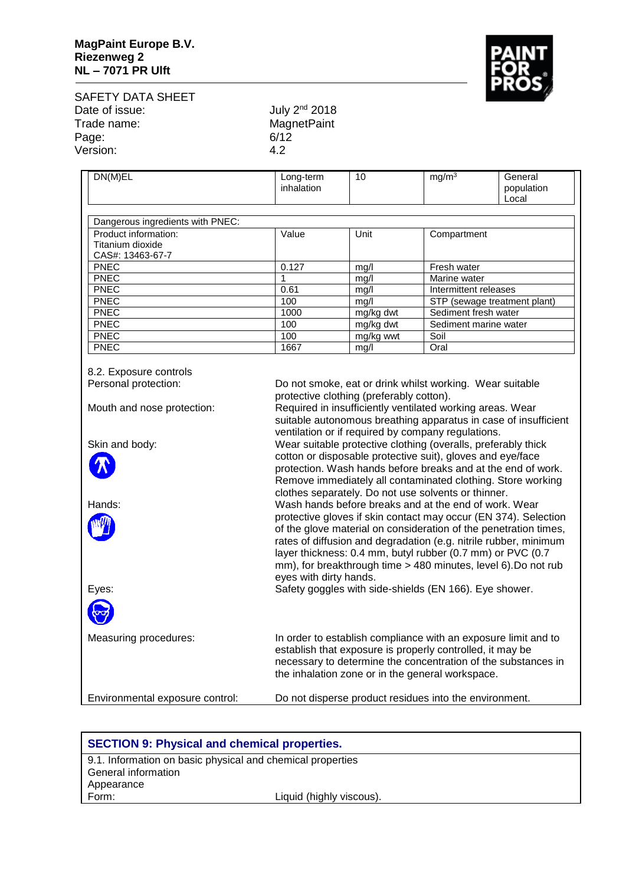

SAFETY DATA SHEET Date of issue: July 2<sup>nd</sup> 2018 Trade name: MagnetPaint Page: 6/12 Version: 4.2

| DN(M)EL                                                      | Long-term<br>inhalation                                                                                                                                          | 10        | mg/m <sup>3</sup>     | General<br>population<br>Local |
|--------------------------------------------------------------|------------------------------------------------------------------------------------------------------------------------------------------------------------------|-----------|-----------------------|--------------------------------|
| Dangerous ingredients with PNEC:                             |                                                                                                                                                                  |           |                       |                                |
| Product information:<br>Titanium dioxide<br>CAS#: 13463-67-7 | Value                                                                                                                                                            | Unit      | Compartment           |                                |
| <b>PNEC</b>                                                  | 0.127                                                                                                                                                            | mq/l      | Fresh water           |                                |
| <b>PNEC</b>                                                  |                                                                                                                                                                  | mq/l      | Marine water          |                                |
| <b>PNEC</b>                                                  | 0.61                                                                                                                                                             | mq/l      | Intermittent releases |                                |
| <b>PNEC</b>                                                  | 100                                                                                                                                                              | mg/l      |                       | STP (sewage treatment plant)   |
| PNEC                                                         | 1000                                                                                                                                                             | mg/kg dwt | Sediment fresh water  |                                |
| <b>PNEC</b>                                                  | 100                                                                                                                                                              | mg/kg dwt | Sediment marine water |                                |
| <b>PNEC</b>                                                  | 100                                                                                                                                                              | mg/kg wwt | Soil                  |                                |
| <b>PNEC</b>                                                  | 1667                                                                                                                                                             | mq/l      | Oral                  |                                |
| 8.2. Exposure controls                                       |                                                                                                                                                                  |           |                       |                                |
| Personal protection:<br>Mauth and none protection.           | Do not smoke, eat or drink whilst working. Wear suitable<br>protective clothing (preferably cotton).<br>Bequired in inquificiently ventilated working erese Meer |           |                       |                                |



Mouth and nose protection: Required in insufficiently ventilated working areas. Wear suitable autonomous breathing apparatus in case of insufficient ventilation or if required by company regulations. Skin and body: Wear suitable protective clothing (overalls, preferably thick

cotton or disposable protective suit), gloves and eye/face protection. Wash hands before breaks and at the end of work. Remove immediately all contaminated clothing. Store working clothes separately. Do not use solvents or thinner. Hands: Wash hands before breaks and at the end of work. Wear protective gloves if skin contact may occur (EN 374). Selection of the glove material on consideration of the penetration times, rates of diffusion and degradation (e.g. nitrile rubber, minimum layer thickness: 0.4 mm, butyl rubber (0.7 mm) or PVC (0.7

mm), for breakthrough time > 480 minutes, level 6).Do not rub eyes with dirty hands.

Eyes: Safety goggles with side-shields (EN 166). Eye shower.

Measuring procedures: In order to establish compliance with an exposure limit and to establish that exposure is properly controlled, it may be necessary to determine the concentration of the substances in the inhalation zone or in the general workspace.

Environmental exposure control: Do not disperse product residues into the environment.

| <b>SECTION 9: Physical and chemical properties.</b>        |                          |  |
|------------------------------------------------------------|--------------------------|--|
| 9.1. Information on basic physical and chemical properties |                          |  |
| General information                                        |                          |  |
| Appearance                                                 |                          |  |
| Form:                                                      | Liquid (highly viscous). |  |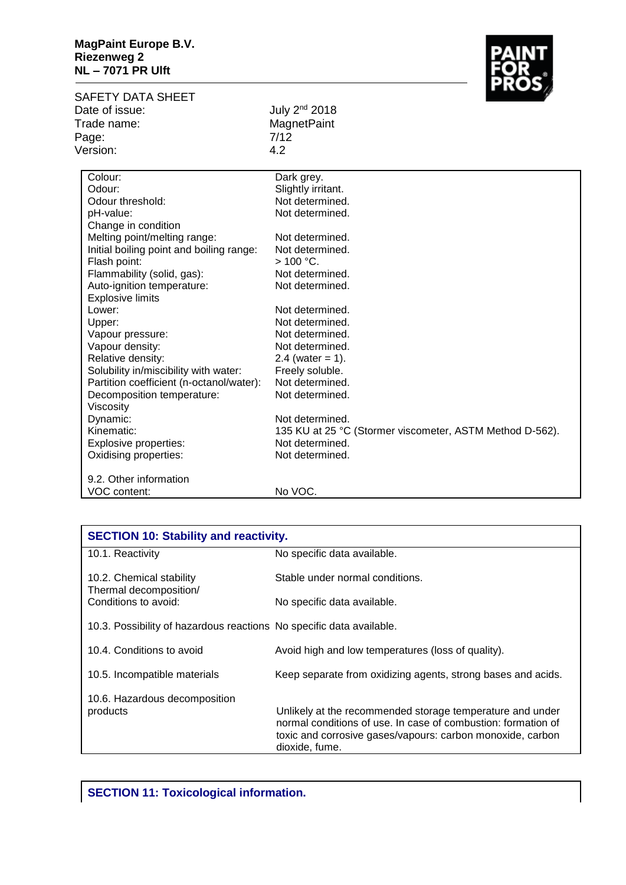

| <b>SAFETY DATA SHEET</b>                 |                                                          |
|------------------------------------------|----------------------------------------------------------|
| Date of issue:                           | July 2 <sup>nd</sup> 2018                                |
| Trade name:                              | <b>MagnetPaint</b>                                       |
| Page:                                    | 7/12                                                     |
| Version:                                 | 4.2                                                      |
|                                          |                                                          |
| Colour:                                  | Dark grey.                                               |
| Odour:                                   | Slightly irritant.                                       |
| Odour threshold:                         | Not determined.                                          |
| pH-value:                                | Not determined.                                          |
| Change in condition                      |                                                          |
| Melting point/melting range:             | Not determined.                                          |
| Initial boiling point and boiling range: | Not determined.                                          |
| Flash point:                             | $>100$ °C.                                               |
| Flammability (solid, gas):               | Not determined.                                          |
| Auto-ignition temperature:               | Not determined.                                          |
| <b>Explosive limits</b>                  |                                                          |
| Lower:                                   | Not determined.                                          |
| Upper:                                   | Not determined.                                          |
| Vapour pressure:                         | Not determined.                                          |
| Vapour density:                          | Not determined.                                          |
| Relative density:                        | 2.4 (water = 1).                                         |
| Solubility in/miscibility with water:    | Freely soluble.                                          |
| Partition coefficient (n-octanol/water): | Not determined.                                          |
| Decomposition temperature:               | Not determined.                                          |
| Viscosity                                |                                                          |
| Dynamic:                                 | Not determined.                                          |
| Kinematic:                               | 135 KU at 25 °C (Stormer viscometer, ASTM Method D-562). |
| Explosive properties:                    | Not determined.                                          |
| Oxidising properties:                    | Not determined.                                          |
| 9.2. Other information                   |                                                          |
| VOC content:                             | No VOC.                                                  |

| <b>SECTION 10: Stability and reactivity.</b>                         |                                                                                                                                                                                                            |  |
|----------------------------------------------------------------------|------------------------------------------------------------------------------------------------------------------------------------------------------------------------------------------------------------|--|
| 10.1. Reactivity                                                     | No specific data available.                                                                                                                                                                                |  |
| 10.2. Chemical stability<br>Thermal decomposition/                   | Stable under normal conditions.                                                                                                                                                                            |  |
| Conditions to avoid:                                                 | No specific data available.                                                                                                                                                                                |  |
| 10.3. Possibility of hazardous reactions No specific data available. |                                                                                                                                                                                                            |  |
| 10.4. Conditions to avoid                                            | Avoid high and low temperatures (loss of quality).                                                                                                                                                         |  |
| 10.5. Incompatible materials                                         | Keep separate from oxidizing agents, strong bases and acids.                                                                                                                                               |  |
| 10.6. Hazardous decomposition<br>products                            | Unlikely at the recommended storage temperature and under<br>normal conditions of use. In case of combustion: formation of<br>toxic and corrosive gases/vapours: carbon monoxide, carbon<br>dioxide, fume. |  |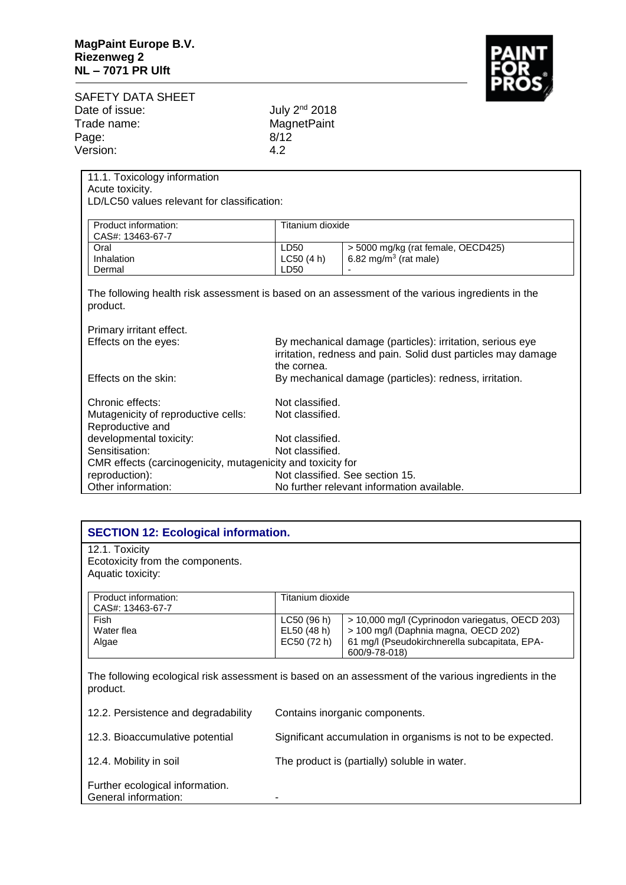

| SAFETY DATA SHEET                                                             |                           |                                                                                                  |
|-------------------------------------------------------------------------------|---------------------------|--------------------------------------------------------------------------------------------------|
| Date of issue:                                                                | July 2 <sup>nd</sup> 2018 |                                                                                                  |
| Trade name:                                                                   | <b>MagnetPaint</b>        |                                                                                                  |
| Page:                                                                         | 8/12                      |                                                                                                  |
| Version:                                                                      | 4.2                       |                                                                                                  |
|                                                                               |                           |                                                                                                  |
| 11.1. Toxicology information                                                  |                           |                                                                                                  |
| Acute toxicity.                                                               |                           |                                                                                                  |
| LD/LC50 values relevant for classification:                                   |                           |                                                                                                  |
| Product information:                                                          | Titanium dioxide          |                                                                                                  |
| CAS#: 13463-67-7                                                              |                           |                                                                                                  |
| Oral                                                                          | LD50                      | $>$ 5000 mg/kg (rat female, OECD425)                                                             |
| Inhalation<br>Dermal                                                          | LC50(4 h)<br>LD50         | 6.82 mg/m <sup>3</sup> (rat male)                                                                |
|                                                                               |                           |                                                                                                  |
| product.<br>Primary irritant effect.                                          |                           | The following health risk assessment is based on an assessment of the various ingredients in the |
| Effects on the eyes:                                                          |                           | By mechanical damage (particles): irritation, serious eye                                        |
|                                                                               |                           | irritation, redness and pain. Solid dust particles may damage                                    |
|                                                                               | the cornea.               |                                                                                                  |
| Effects on the skin:                                                          |                           | By mechanical damage (particles): redness, irritation.                                           |
| Chronic effects:                                                              | Not classified.           |                                                                                                  |
| Mutagenicity of reproductive cells:                                           | Not classified.           |                                                                                                  |
| Reproductive and                                                              |                           |                                                                                                  |
|                                                                               |                           |                                                                                                  |
| developmental toxicity:                                                       | Not classified.           |                                                                                                  |
| Sensitisation:                                                                | Not classified.           |                                                                                                  |
|                                                                               |                           |                                                                                                  |
| CMR effects (carcinogenicity, mutagenicity and toxicity for<br>reproduction): |                           | Not classified. See section 15.                                                                  |

| <b>SECTION 12: Ecological information.</b>                              |                                           |                                                                                                                                                           |
|-------------------------------------------------------------------------|-------------------------------------------|-----------------------------------------------------------------------------------------------------------------------------------------------------------|
| 12.1. Toxicity<br>Ecotoxicity from the components.<br>Aquatic toxicity: |                                           |                                                                                                                                                           |
| Product information:<br>CAS#: 13463-67-7                                | Titanium dioxide                          |                                                                                                                                                           |
| Fish<br>Water flea<br>Algae                                             | LC50 (96 h)<br>EL50 (48 h)<br>EC50 (72 h) | > 10,000 mg/l (Cyprinodon variegatus, OECD 203)<br>> 100 mg/l (Daphnia magna, OECD 202)<br>61 mg/l (Pseudokirchnerella subcapitata, EPA-<br>600/9-78-018) |
| product.                                                                |                                           | The following ecological risk assessment is based on an assessment of the various ingredients in the                                                      |
| 12.2. Persistence and degradability                                     |                                           | Contains inorganic components.                                                                                                                            |
| 12.3. Bioaccumulative potential                                         |                                           | Significant accumulation in organisms is not to be expected.                                                                                              |
| 12.4. Mobility in soil                                                  |                                           | The product is (partially) soluble in water.                                                                                                              |
| Further ecological information.<br>General information:                 |                                           |                                                                                                                                                           |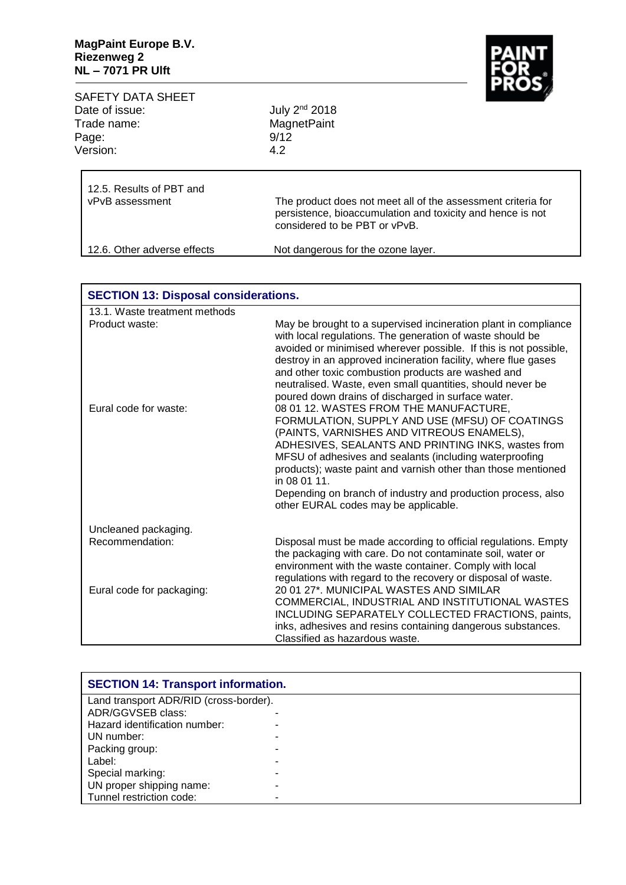

SAFETY DATA SHEET<br>Date of issue: Date of issue: July 2<sup>nd</sup> 2018<br>Trade name: MagnetPaint Page: Version: 4.2

MagnetPaint<br>9/12

12.5. Results of PBT and<br>vPvB assessment

The product does not meet all of the assessment criteria for persistence, bioaccumulation and toxicity and hence is not considered to be PBT or vPvB. Not dangerous for the ozone layer.

|  | 12.6. Other adverse effects |  |
|--|-----------------------------|--|
|  |                             |  |

| <b>SECTION 13: Disposal considerations.</b> |                                                                                                                                                                                                                                                                                                                                                                                                                                                 |
|---------------------------------------------|-------------------------------------------------------------------------------------------------------------------------------------------------------------------------------------------------------------------------------------------------------------------------------------------------------------------------------------------------------------------------------------------------------------------------------------------------|
| 13.1. Waste treatment methods               |                                                                                                                                                                                                                                                                                                                                                                                                                                                 |
| Product waste:                              | May be brought to a supervised incineration plant in compliance<br>with local regulations. The generation of waste should be<br>avoided or minimised wherever possible. If this is not possible,<br>destroy in an approved incineration facility, where flue gases<br>and other toxic combustion products are washed and<br>neutralised. Waste, even small quantities, should never be<br>poured down drains of discharged in surface water.    |
| Eural code for waste:                       | 08 01 12. WASTES FROM THE MANUFACTURE,<br>FORMULATION, SUPPLY AND USE (MFSU) OF COATINGS<br>(PAINTS, VARNISHES AND VITREOUS ENAMELS),<br>ADHESIVES, SEALANTS AND PRINTING INKS, wastes from<br>MFSU of adhesives and sealants (including waterproofing<br>products); waste paint and varnish other than those mentioned<br>in 08 01 11.<br>Depending on branch of industry and production process, also<br>other EURAL codes may be applicable. |
| Uncleaned packaging.                        |                                                                                                                                                                                                                                                                                                                                                                                                                                                 |
| Recommendation:                             | Disposal must be made according to official regulations. Empty<br>the packaging with care. Do not contaminate soil, water or<br>environment with the waste container. Comply with local<br>regulations with regard to the recovery or disposal of waste.                                                                                                                                                                                        |
| Eural code for packaging:                   | 20 01 27*, MUNICIPAL WASTES AND SIMILAR<br>COMMERCIAL, INDUSTRIAL AND INSTITUTIONAL WASTES<br>INCLUDING SEPARATELY COLLECTED FRACTIONS, paints,<br>inks, adhesives and resins containing dangerous substances.<br>Classified as hazardous waste.                                                                                                                                                                                                |

| <b>SECTION 14: Transport information.</b> |  |  |
|-------------------------------------------|--|--|
| Land transport ADR/RID (cross-border).    |  |  |
| ADR/GGVSEB class:                         |  |  |
| Hazard identification number:             |  |  |
| UN number:                                |  |  |
| Packing group:                            |  |  |
| Label:                                    |  |  |
| Special marking:                          |  |  |
| UN proper shipping name:                  |  |  |
| Tunnel restriction code:                  |  |  |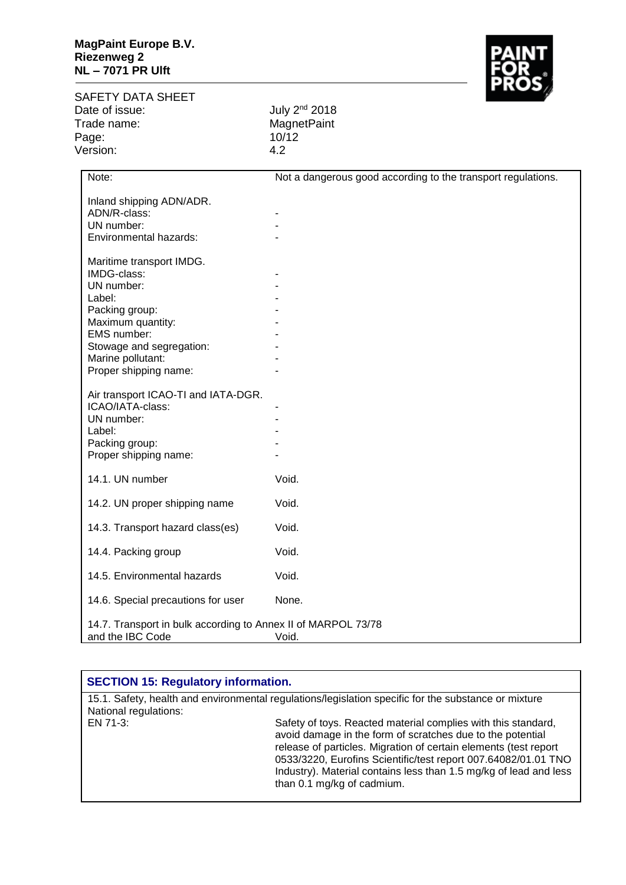

SAFETY DATA SHEET Date of issue:<br>Trade name: Page:  $10<sup>7</sup>$ <br>Version:  $4.2$ Version:

July 2<sup>nd</sup> 2018<br>MagnetPaint<br>10/12

| Note:                                                         | Not a dangerous good according to the transport regulations. |
|---------------------------------------------------------------|--------------------------------------------------------------|
|                                                               |                                                              |
| Inland shipping ADN/ADR.<br>ADN/R-class:                      |                                                              |
| UN number:                                                    |                                                              |
|                                                               |                                                              |
| Environmental hazards:                                        |                                                              |
|                                                               |                                                              |
| Maritime transport IMDG.<br>IMDG-class:                       |                                                              |
|                                                               |                                                              |
| UN number:                                                    |                                                              |
| Label:                                                        |                                                              |
| Packing group:                                                |                                                              |
| Maximum quantity:                                             |                                                              |
| EMS number:                                                   |                                                              |
| Stowage and segregation:                                      |                                                              |
| Marine pollutant:                                             |                                                              |
| Proper shipping name:                                         |                                                              |
|                                                               |                                                              |
| Air transport ICAO-TI and IATA-DGR.                           |                                                              |
| ICAO/IATA-class:                                              |                                                              |
| UN number:                                                    |                                                              |
| Label:                                                        |                                                              |
| Packing group:                                                |                                                              |
| Proper shipping name:                                         |                                                              |
| 14.1. UN number                                               | Void.                                                        |
|                                                               |                                                              |
| 14.2. UN proper shipping name                                 | Void.                                                        |
|                                                               |                                                              |
| 14.3. Transport hazard class(es)                              | Void.                                                        |
|                                                               |                                                              |
| 14.4. Packing group                                           | Void.                                                        |
|                                                               |                                                              |
| 14.5. Environmental hazards                                   | Void.                                                        |
|                                                               |                                                              |
| 14.6. Special precautions for user                            | None.                                                        |
|                                                               |                                                              |
| 14.7. Transport in bulk according to Annex II of MARPOL 73/78 |                                                              |
| and the IBC Code                                              | Void.                                                        |

| <b>SECTION 15: Regulatory information.</b> |                                                                                                                                                                                                                                                                                                                                                                      |  |
|--------------------------------------------|----------------------------------------------------------------------------------------------------------------------------------------------------------------------------------------------------------------------------------------------------------------------------------------------------------------------------------------------------------------------|--|
| National regulations:                      | 15.1. Safety, health and environmental regulations/legislation specific for the substance or mixture                                                                                                                                                                                                                                                                 |  |
| EN 71-3:                                   | Safety of toys. Reacted material complies with this standard,<br>avoid damage in the form of scratches due to the potential<br>release of particles. Migration of certain elements (test report<br>0533/3220, Eurofins Scientific/test report 007.64082/01.01 TNO<br>Industry). Material contains less than 1.5 mg/kg of lead and less<br>than 0.1 mg/kg of cadmium. |  |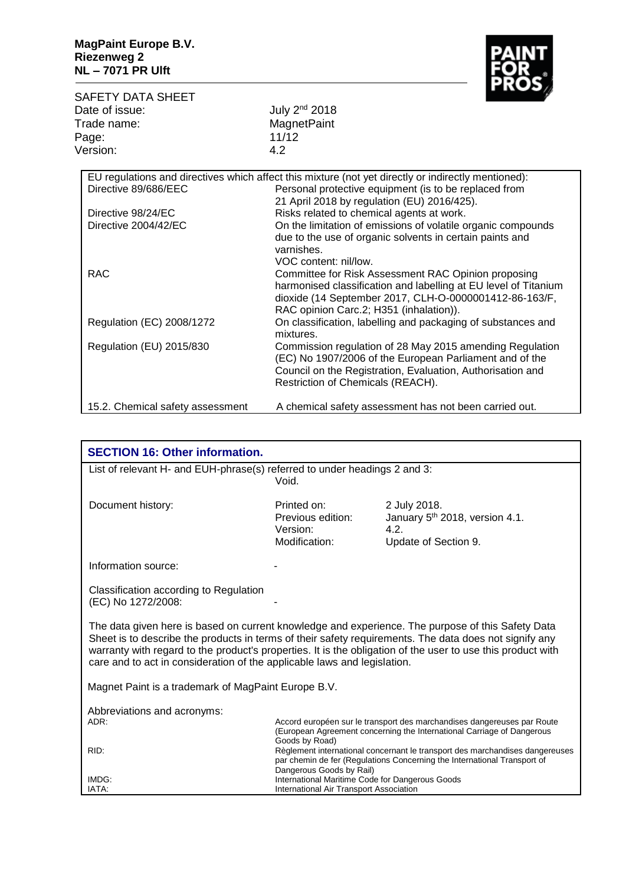

SAFETY DATA SHEET Date of issue:<br>Trade name: Page: 11/12 Version: 4.2

July 2<sup>nd</sup> 2018<br>MagnetPaint<br>11/12

| EU regulations and directives which affect this mixture (not yet directly or indirectly mentioned): |                                                                 |  |  |
|-----------------------------------------------------------------------------------------------------|-----------------------------------------------------------------|--|--|
| Directive 89/686/EEC                                                                                | Personal protective equipment (is to be replaced from           |  |  |
|                                                                                                     | 21 April 2018 by regulation (EU) 2016/425).                     |  |  |
| Directive 98/24/EC                                                                                  | Risks related to chemical agents at work.                       |  |  |
| Directive 2004/42/EC                                                                                | On the limitation of emissions of volatile organic compounds    |  |  |
|                                                                                                     | due to the use of organic solvents in certain paints and        |  |  |
|                                                                                                     | varnishes.                                                      |  |  |
|                                                                                                     | VOC content: nil/low.                                           |  |  |
| <b>RAC</b>                                                                                          | Committee for Risk Assessment RAC Opinion proposing             |  |  |
|                                                                                                     | harmonised classification and labelling at EU level of Titanium |  |  |
|                                                                                                     | dioxide (14 September 2017, CLH-O-0000001412-86-163/F,          |  |  |
|                                                                                                     | RAC opinion Carc.2; H351 (inhalation)).                         |  |  |
| Regulation (EC) 2008/1272                                                                           | On classification, labelling and packaging of substances and    |  |  |
|                                                                                                     | mixtures.                                                       |  |  |
| Regulation (EU) 2015/830                                                                            | Commission regulation of 28 May 2015 amending Regulation        |  |  |
|                                                                                                     | (EC) No 1907/2006 of the European Parliament and of the         |  |  |
|                                                                                                     | Council on the Registration, Evaluation, Authorisation and      |  |  |
|                                                                                                     | Restriction of Chemicals (REACH).                               |  |  |
|                                                                                                     |                                                                 |  |  |
| 15.2. Chemical safety assessment                                                                    | A chemical safety assessment has not been carried out.          |  |  |
|                                                                                                     |                                                                 |  |  |

| <b>SECTION 16: Other information.</b>                                                                                                                                                                                                                                                                                                                                                                  |                                                                                                                                                                                      |                                                                                                                                                   |  |  |
|--------------------------------------------------------------------------------------------------------------------------------------------------------------------------------------------------------------------------------------------------------------------------------------------------------------------------------------------------------------------------------------------------------|--------------------------------------------------------------------------------------------------------------------------------------------------------------------------------------|---------------------------------------------------------------------------------------------------------------------------------------------------|--|--|
| List of relevant H- and EUH-phrase(s) referred to under headings 2 and 3:                                                                                                                                                                                                                                                                                                                              | Void.                                                                                                                                                                                |                                                                                                                                                   |  |  |
| Document history:                                                                                                                                                                                                                                                                                                                                                                                      | Printed on:<br>Previous edition:<br>Version:<br>Modification:                                                                                                                        | 2 July 2018.<br>January 5 <sup>th</sup> 2018, version 4.1.<br>4.2.<br>Update of Section 9.                                                        |  |  |
| Information source:                                                                                                                                                                                                                                                                                                                                                                                    |                                                                                                                                                                                      |                                                                                                                                                   |  |  |
| Classification according to Regulation<br>(EC) No 1272/2008:                                                                                                                                                                                                                                                                                                                                           |                                                                                                                                                                                      |                                                                                                                                                   |  |  |
| The data given here is based on current knowledge and experience. The purpose of this Safety Data<br>Sheet is to describe the products in terms of their safety requirements. The data does not signify any<br>warranty with regard to the product's properties. It is the obligation of the user to use this product with<br>care and to act in consideration of the applicable laws and legislation. |                                                                                                                                                                                      |                                                                                                                                                   |  |  |
| Magnet Paint is a trademark of MagPaint Europe B.V.                                                                                                                                                                                                                                                                                                                                                    |                                                                                                                                                                                      |                                                                                                                                                   |  |  |
| Abbreviations and acronyms:<br>ADR:                                                                                                                                                                                                                                                                                                                                                                    | Goods by Road)                                                                                                                                                                       | Accord européen sur le transport des marchandises dangereuses par Route<br>(European Agreement concerning the International Carriage of Dangerous |  |  |
| RID:                                                                                                                                                                                                                                                                                                                                                                                                   | Règlement international concernant le transport des marchandises dangereuses<br>par chemin de fer (Regulations Concerning the International Transport of<br>Dangerous Goods by Rail) |                                                                                                                                                   |  |  |
| IMDG:<br>IATA:                                                                                                                                                                                                                                                                                                                                                                                         | International Maritime Code for Dangerous Goods<br>International Air Transport Association                                                                                           |                                                                                                                                                   |  |  |